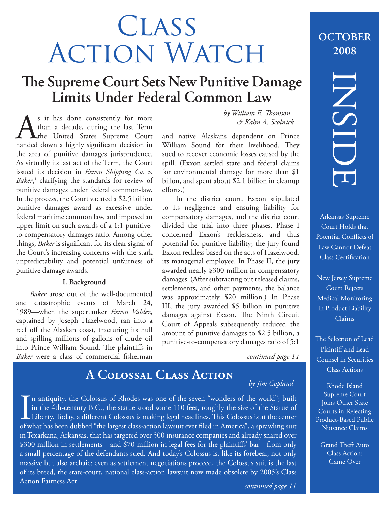# **CLASS** ACTION WATCH

# **The Supreme Court Sets New Punitive Damage Limits Under Federal Common Law**

s it has done consistently for more<br>than a decade, during the last Term<br>handed down a highly significant decision in than a decade, during the last Term the United States Supreme Court handed down a highly significant decision in the area of punitive damages jurisprudence. As virtually its last act of the Term, the Court issued its decision in *Exxon Shipping Co. v.*  Baker,<sup>1</sup> clarifying the standards for review of punitive damages under federal common-law. In the process, the Court vacated a \$2.5 billion punitive damages award as excessive under federal maritime common law, and imposed an upper limit on such awards of a 1:1 punitiveto-compensatory damages ratio. Among other things, *Baker* is significant for its clear signal of the Court's increasing concerns with the stark unpredictability and potential unfairness of punitive damage awards.

### **I. Background**

*Baker* arose out of the well-documented and catastrophic events of March 24, 1989—when the supertanker *Exxon Valdez*, captained by Joseph Hazelwood, ran into a reef off the Alaskan coast, fracturing its hull and spilling millions of gallons of crude oil into Prince William Sound. The plaintiffs in *Baker* were a class of commercial fisherman  $by$  *William E. Thomson & Kahn A. Scolnick*

and native Alaskans dependent on Prince William Sound for their livelihood. They sued to recover economic losses caused by the spill. (Exxon settled state and federal claims for environmental damage for more than \$1 billon, and spent about \$2.1 billion in cleanup efforts.)

In the district court, Exxon stipulated to its negligence and ensuing liability for compensatory damages, and the district court divided the trial into three phases. Phase I concerned Exxon's recklessness, and thus potential for punitive liability; the jury found Exxon reckless based on the acts of Hazelwood, its managerial employee. In Phase II, the jury awarded nearly \$300 million in compensatory damages. (After subtracting out released claims, settlements, and other payments, the balance was approximately \$20 million.) In Phase III, the jury awarded \$5 billion in punitive damages against Exxon. The Ninth Circuit Court of Appeals subsequently reduced the amount of punitive damages to \$2.5 billion, a punitive-to-compensatory damages ratio of 5:1

*continued page 14*

# **A Colossal Class Action**

### *by Jim Copland*

In antiquity, the Colossus of Rhodes was one of the seven "wonders of the world"; built<br>in the 4th-century B.C., the statue stood some 110 feet, roughly the size of the Statue of<br>Liberty. Today, a different Colossus is mak n antiquity, the Colossus of Rhodes was one of the seven "wonders of the world"; built in the 4th-century B.C., the statue stood some 110 feet, roughly the size of the Statue of Liberty. Today, a different Colossus is making legal headlines. This Colossus is at the center. in Texarkana, Arkansas, that has targeted over 500 insurance companies and already snared over \$300 million in settlements—and \$70 million in legal fees for the plaintiffs' bar—from only a small percentage of the defendants sued. And today's Colossus is, like its forebear, not only massive but also archaic: even as settlement negotiations proceed, the Colossus suit is the last of its breed, the state-court, national class-action lawsuit now made obsolete by 2005's Class Action Fairness Act.

## **OCTOBER 2008**

# INSIDE

Arkansas Supreme Court Holds that Potential Conflicts of Law Cannot Defeat Class Certification

New Jersey Supreme Court Rejects Medical Monitoring in Product Liability Claims

The Selection of Lead Plaintiff and Lead Counsel in Securities Class Actions

Rhode Island Supreme Court Joins Other State Courts in Rejecting Product-Based Public Nuisance Claims

Grand Theft Auto Class Action: Game Over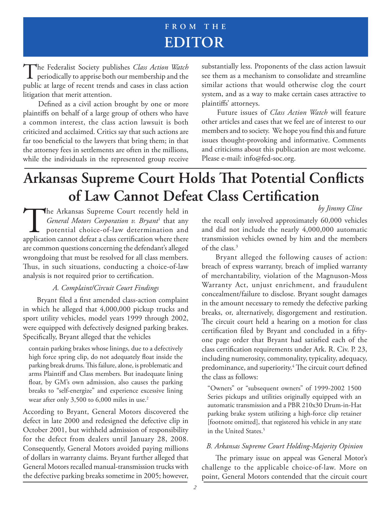# **FROM THE EDITOR**

The Federalist Society publishes *Class Action Watch*<br>periodically to apprise both our membership and the public at large of recent trends and cases in class action litigation that merit attention.

Defined as a civil action brought by one or more plaintiffs on behalf of a large group of others who have a common interest, the class action lawsuit is both criticized and acclaimed. Critics say that such actions are far too beneficial to the lawyers that bring them; in that the attorney fees in settlements are often in the millions, while the individuals in the represented group receive substantially less. Proponents of the class action lawsuit see them as a mechanism to consolidate and streamline similar actions that would otherwise clog the court system, and as a way to make certain cases attractive to plaintiffs' attorneys.

Future issues of *Class Action Watch* will feature other articles and cases that we feel are of interest to our members and to society. We hope you find this and future issues thought-provoking and informative. Comments and criticisms about this publication are most welcome. Please e-mail: info@fed-soc.org.

# **Arkansas Supreme Court Holds That Potential Conflicts** of Law Cannot Defeat Class Certification

The Arkansas Supreme Court recently held in<br>*General Motors Corporation v. Bryant*<sup>1</sup> that any<br>potential choice-of-law determination and<br>application cannot defeat a class certification where there General Motors Corporation v. Bryant<sup>1</sup> that any potential choice-of-law determination and application cannot defeat a class certification where there are common questions concerning the defendant's alleged wrongdoing that must be resolved for all class members. Thus, in such situations, conducting a choice-of-law analysis is not required prior to certification.

### *A. Complaint/Circuit Court Findings*

Bryant filed a first amended class-action complaint in which he alleged that 4,000,000 pickup trucks and sport utility vehicles, model years 1999 through 2002, were equipped with defectively designed parking brakes. Specifically, Bryant alleged that the vehicles

contain parking brakes whose linings, due to a defectively high force spring clip, do not adequately float inside the parking break drums. This failure, alone, is problematic and arms Plaintiff and Class members. But inadequate lining float, by GM's own admission, also causes the parking breaks to "self-energize" and experience excessive lining wear after only 3,500 to 6,000 miles in use.<sup>2</sup>

According to Bryant, General Motors discovered the defect in late 2000 and redesigned the defective clip in October 2001, but withheld admission of responsibility for the defect from dealers until January 28, 2008. Consequently, General Motors avoided paying millions of dollars in warranty claims. Bryant further alleged that General Motors recalled manual-transmission trucks with the defective parking breaks sometime in 2005; however,

*by Jimmy Cline*

the recall only involved approximately 60,000 vehicles and did not include the nearly 4,000,000 automatic transmission vehicles owned by him and the members of the class.3

Bryant alleged the following causes of action: breach of express warranty, breach of implied warranty of merchantability, violation of the Magnuson-Moss Warranty Act, unjust enrichment, and fraudulent concealment/failure to disclose. Bryant sought damages in the amount necessary to remedy the defective parking breaks, or, alternatively, disgorgement and restitution. The circuit court held a hearing on a motion for class certification filed by Bryant and concluded in a fiftyone page order that Bryant had satisfied each of the class certification requirements under Ark. R. Civ. P. 23, including numerosity, commonality, typicality, adequacy, predominance, and superiority.<sup>4</sup> The circuit court defined the class as follows:

"Owners" or "subsequent owners" of 1999-2002 1500 Series pickups and utilities originally equipped with an automatic transmission and a PBR 210x30 Drum-in-Hat parking brake system utilizing a high-force clip retainer [footnote omitted], that registered his vehicle in any state in the United States.<sup>5</sup>

### *B. Arkansas Supreme Court Holding-Majority Opinion*

The primary issue on appeal was General Motor's challenge to the applicable choice-of-law. More on point, General Motors contended that the circuit court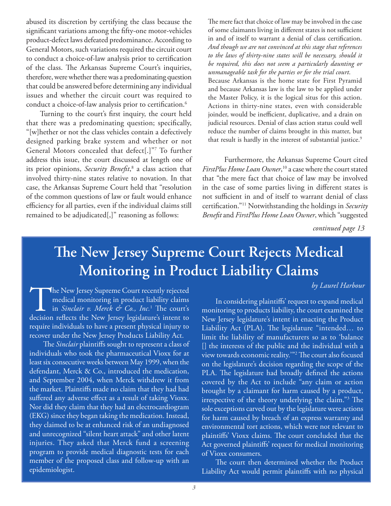abused its discretion by certifying the class because the significant variations among the fifty-one motor-vehicles product-defect laws defeated predominance. According to General Motors, such variations required the circuit court to conduct a choice-of-law analysis prior to certification of the class. The Arkansas Supreme Court's inquiries, therefore, were whether there was a predominating question that could be answered before determining any individual issues and whether the circuit court was required to conduct a choice-of-law analysis prior to certification. $^6$ 

Turning to the court's first inquiry, the court held that there was a predominating question; specifically, "[w]hether or not the class vehicles contain a defectively designed parking brake system and whether or not General Motors concealed that defect[.]"7 To further address this issue, the court discussed at length one of its prior opinions, Security Benefit,<sup>8</sup> a class action that involved thirty-nine states relative to novation. In that case, the Arkansas Supreme Court held that "resolution of the common questions of law or fault would enhance efficiency for all parties, even if the individual claims still remained to be adjudicated[,]" reasoning as follows:

The mere fact that choice of law may be involved in the case of some claimants living in different states is not sufficient in and of itself to warrant a denial of class certification. *And though we are not convinced at this stage that references to the laws of thirty-nine states will be necessary, should it be required, this does not seem a particularly daunting or unmanageable task for the parties or for the trial court*. . Because Arkansas is the home state for First Pyramid and because Arkansas law is the law to be applied under the Master Policy, it is the logical situs for this action. Actions in thirty-nine states, even with considerable joinder, would be inefficient, duplicative, and a drain on judicial resources. Denial of class action status could well reduce the number of claims brought in this matter, but that result is hardly in the interest of substantial justice.<sup>9</sup>

 Furthermore, the Arkansas Supreme Court cited *FirstPlus Home Loan Owner*, <sup>10</sup> a case where the court stated that "the mere fact that choice of law may be involved in the case of some parties living in different states is not sufficient in and of itself to warrant denial of class certification."<sup>11</sup> Notwithstanding the holdings in *Security Benefi t* and *FirstPlus Home Loan Owner*, which "suggested

*continued page 13*

# **The New Jersey Supreme Court Rejects Medical Monitoring in Product Liability Claims**

*by Laurel Harbour*

The New Jersey Supreme Court recently rejected<br>medical monitoring in product liability claims<br>in *Sinclair v. Merck & Co., Inc.*<sup>1</sup> The court's<br>decision reflects the New Jersey legislature's intent to medical monitoring in product liability claims in *Sinclair v. Merck & Co., Inc.*<sup>1</sup> The court's decision reflects the New Jersey legislature's intent to require individuals to have a present physical injury to recover under the New Jersey Products Liability Act.

The *Sinclair* plaintiffs sought to represent a class of individuals who took the pharmaceutical Vioxx for at least six consecutive weeks between May 1999, when the defendant, Merck & Co., introduced the medication, and September 2004, when Merck withdrew it from the market. Plaintiffs made no claim that they had had suffered any adverse effect as a result of taking Vioxx. Nor did they claim that they had an electrocardiogram (EKG) since they began taking the medication. Instead, they claimed to be at enhanced risk of an undiagnosed and unrecognized "silent heart attack" and other latent injuries. They asked that Merck fund a screening program to provide medical diagnostic tests for each member of the proposed class and follow-up with an epidemiologist.

In considering plaintiffs' request to expand medical monitoring to products liability, the court examined the New Jersey legislature's intent in enacting the Product Liability Act (PLA). The legislature "intended... to limit the liability of manufacturers so as to 'balance [] the interests of the public and the individual with a view towards economic reality.'"<sup>2</sup> The court also focused on the legislature's decision regarding the scope of the PLA. The legislature had broadly defined the actions covered by the Act to include "any claim or action brought by a claimant for harm caused by a product, irrespective of the theory underlying the claim."<sup>3</sup> The sole exceptions carved out by the legislature were actions for harm caused by breach of an express warranty and environmental tort actions, which were not relevant to plaintiffs' Vioxx claims. The court concluded that the Act governed plaintiffs' request for medical monitoring of Vioxx consumers.

The court then determined whether the Product Liability Act would permit plaintiffs with no physical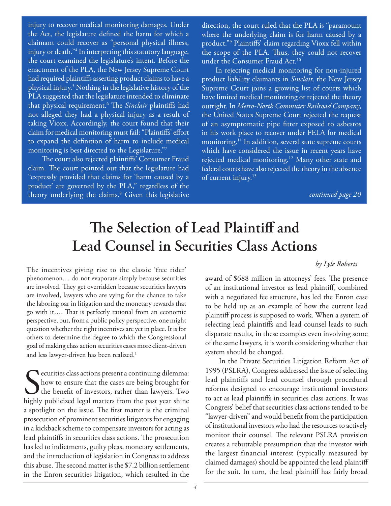injury to recover medical monitoring damages. Under the Act, the legislature defined the harm for which a claimant could recover as "personal physical illness, injury or death."4 In interpreting this statutory language, the court examined the legislature's intent. Before the enactment of the PLA, the New Jersey Supreme Court had required plaintiffs asserting product claims to have a physical injury.5 Nothing in the legislative history of the PLA suggested that the legislature intended to eliminate that physical requirement.<sup>6</sup> The *Sinclair* plaintiffs had not alleged they had a physical injury as a result of taking Vioxx. Accordingly, the court found that their claim for medical monitoring must fail: "Plaintiffs' effort to expand the definition of harm to include medical monitoring is best directed to the Legislature."7

The court also rejected plaintiffs' Consumer Fraud claim. The court pointed out that the legislature had "expressly provided that claims for 'harm caused by a product' are governed by the PLA," regardless of the theory underlying the claims.8 Given this legislative direction, the court ruled that the PLA is "paramount where the underlying claim is for harm caused by a product."<sup>9</sup> Plaintiffs' claim regarding Vioxx fell within the scope of the PLA. Thus, they could not recover under the Consumer Fraud Act.<sup>10</sup>

In rejecting medical monitoring for non-injured product liability claimants in *Sinclair,* the New Jersey Supreme Court joins a growing list of courts which have limited medical monitoring or rejected the theory outright. In *Metro-North Commuter Railroad Company*, the United States Supreme Court rejected the request of an asymptomatic pipe fitter exposed to asbestos in his work place to recover under FELA for medical monitoring.<sup>11</sup> In addition, several state supreme courts which have considered the issue in recent years have rejected medical monitoring.<sup>12</sup> Many other state and federal courts have also rejected the theory in the absence of current injury.<sup>13</sup>

*continued page 20*

# The Selection of Lead Plaintiff and **Lead Counsel in Securities Class Actions**

### *by Lyle Roberts*

The incentives giving rise to the classic 'free rider' phenomenon.... do not evaporate simply because securities are involved. They get overridden because securities lawyers are involved, lawyers who are vying for the chance to take the laboring oar in litigation and the monetary rewards that go with it.... That is perfectly rational from an economic perspective, but, from a public policy perspective, one might question whether the right incentives are yet in place. It is for others to determine the degree to which the Congressional goal of making class action securities cases more client-driven and less lawyer-driven has been realized.<sup>1</sup>

Securities class actions present a continuing dilemma:<br>how to ensure that the cases are being brought for<br>the benefit of investors, rather than lawyers. Two<br>highly publicized legal matters from the past vear shine how to ensure that the cases are being brought for I the benefit of investors, rather than lawyers. Two highly publicized legal matters from the past year shine a spotlight on the issue. The first matter is the criminal prosecution of prominent securities litigators for engaging in a kickback scheme to compensate investors for acting as lead plaintiffs in securities class actions. The prosecution has led to indictments, guilty pleas, monetary settlements, and the introduction of legislation in Congress to address this abuse. The second matter is the \$7.2 billion settlement in the Enron securities litigation, which resulted in the

award of \$688 million in attorneys' fees. The presence of an institutional investor as lead plaintiff, combined with a negotiated fee structure, has led the Enron case to be held up as an example of how the current lead plaintiff process is supposed to work. When a system of selecting lead plaintiffs and lead counsel leads to such disparate results, in these examples even involving some of the same lawyers, it is worth considering whether that system should be changed.

In the Private Securities Litigation Reform Act of 1995 (PSLRA), Congress addressed the issue of selecting lead plaintiffs and lead counsel through procedural reforms designed to encourage institutional investors to act as lead plaintiffs in securities class actions. It was Congress' belief that securities class actions tended to be "lawyer-driven" and would benefit from the participation of institutional investors who had the resources to actively monitor their counsel. The relevant PSLRA provision creates a rebuttable presumption that the investor with the largest financial interest (typically measured by claimed damages) should be appointed the lead plaintiff for the suit. In turn, the lead plaintiff has fairly broad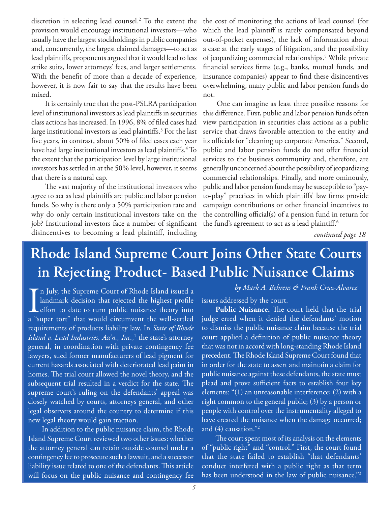discretion in selecting lead counsel.2 To the extent the provision would encourage institutional investors—who usually have the largest stockholdings in public companies and, concurrently, the largest claimed damages—to act as lead plaintiffs, proponents argued that it would lead to less strike suits, lower attorneys' fees, and larger settlements. With the benefit of more than a decade of experience, however, it is now fair to say that the results have been mixed.

It is certainly true that the post-PSLRA participation level of institutional investors as lead plaintiffs in securities class actions has increased. In 1996, 8% of filed cases had large institutional investors as lead plaintiffs.<sup>3</sup> For the last five years, in contrast, about 50% of filed cases each year have had large institutional investors as lead plaintiffs.<sup>4</sup> To the extent that the participation level by large institutional investors has settled in at the 50% level, however, it seems that there is a natural cap.

The vast majority of the institutional investors who agree to act as lead plaintiffs are public and labor pension funds. So why is there only a 50% participation rate and why do only certain institutional investors take on the job? Institutional investors face a number of significant disincentives to becoming a lead plaintiff, including the cost of monitoring the actions of lead counsel (for which the lead plaintiff is rarely compensated beyond out-of-pocket expenses), the lack of information about a case at the early stages of litigation, and the possibility of jeopardizing commercial relationships.<sup>5</sup> While private financial services firms (e.g., banks, mutual funds, and insurance companies) appear to find these disincentives overwhelming, many public and labor pension funds do not.

One can imagine as least three possible reasons for this difference. First, public and labor pension funds often view participation in securities class actions as a public service that draws favorable attention to the entity and its officials for "cleaning up corporate America." Second, public and labor pension funds do not offer financial services to the business community and, therefore, are generally unconcerned about the possibility of jeopardizing commercial relationships. Finally, and more ominously, public and labor pension funds may be susceptible to "payto-play" practices in which plaintiffs' law firms provide campaign contributions or other financial incentives to the controlling official(s) of a pension fund in return for the fund's agreement to act as a lead plaintiff.<sup>6</sup>

*continued page 18*

# **Rhode Island Supreme Court Joins Other State Courts in Rejecting Product- Based Public Nuisance Claims**

 $\prod_{a<sub>s</sub>$ n July, the Supreme Court of Rhode Island issued a landmark decision that rejected the highest profile effort to date to turn public nuisance theory into a "super tort" that would circumvent the well-settled requirements of products liability law. In *State of Rhode Island v. Lead Industries, Ass'n., Inc.,*<sup>1</sup> the state's attorney general, in coordination with private contingency fee lawyers, sued former manufacturers of lead pigment for current hazards associated with deteriorated lead paint in homes. The trial court allowed the novel theory, and the subsequent trial resulted in a verdict for the state. The supreme court's ruling on the defendants' appeal was closely watched by courts, attorneys general, and other legal observers around the country to determine if this new legal theory would gain traction.

In addition to the public nuisance claim, the Rhode Island Supreme Court reviewed two other issues: whether the attorney general can retain outside counsel under a contingency fee to prosecute such a lawsuit, and a successor liability issue related to one of the defendants. This article will focus on the public nuisance and contingency fee

### *by Mark A. Behrens & Frank Cruz-Alvarez*

issues addressed by the court.

Public Nuisance. The court held that the trial judge erred when it denied the defendants' motion to dismiss the public nuisance claim because the trial court applied a definition of public nuisance theory that was not in accord with long-standing Rhode Island precedent. The Rhode Island Supreme Court found that in order for the state to assert and maintain a claim for public nuisance against these defendants, the state must plead and prove sufficient facts to establish four key elements: "(1) an unreasonable interference; (2) with a right common to the general public; (3) by a person or people with control over the instrumentality alleged to have created the nuisance when the damage occurred; and  $(4)$  causation."<sup>2</sup>

The court spent most of its analysis on the elements of "public right" and "control." First, the court found that the state failed to establish "that defendants' conduct interfered with a public right as that term has been understood in the law of public nuisance."<sup>3</sup>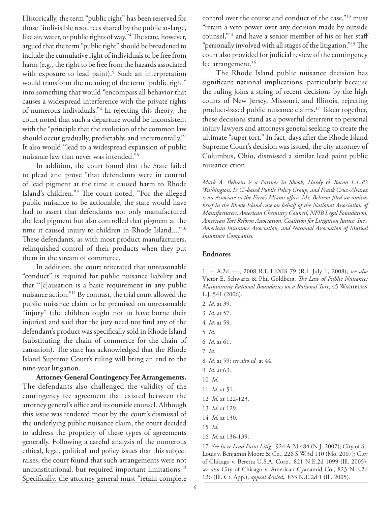Historically, the term "public right" has been reserved for those "indivisible resources shared by the public at-large, like air, water, or public rights of way."<sup>4</sup> The state, however, argued that the term "public right" should be broadened to include the cumulative right of individuals to be free from harm (e.g., the right to be free from the hazards associated with exposure to lead paint).<sup>5</sup> Such an interpretation would transform the meaning of the term "public right" into something that would "encompass all behavior that causes a widespread interference with the private rights of numerous individuals."6 In rejecting this theory, the court noted that such a departure would be inconsistent with the "principle that the evolution of the common law should occur gradually, predictably, and incrementally."7 It also would "lead to a widespread expansion of public nuisance law that never was intended."8

In addition, the court found that the State failed to plead and prove "that defendants were in control of lead pigment at the time it caused harm to Rhode Island's children."<sup>9</sup> The court noted, "For the alleged public nuisance to be actionable, the state would have had to assert that defendants not only manufactured the lead pigment but also controlled that pigment at the time it caused injury to children in Rhode Island...."10 These defendants, as with most product manufacturers, relinquished control of their products when they put them in the stream of commerce.

In addition, the court reiterated that unreasonable "conduct" is required for public nuisance liability and that "[c]ausation is a basic requirement in any public nuisance action."11 By contrast, the trial court allowed the public nuisance claim to be premised on unreasonable "injury" (the children ought not to have borne their injuries) and said that the jury need not find any of the defendant's product was specifically sold in Rhode Island (substituting the chain of commerce for the chain of causation). The state has acknowledged that the Rhode Island Supreme Court's ruling will bring an end to the nine-year litigation.

**Attorney General Contingency Fee Arrangements.**  The defendants also challenged the validity of the contingency fee agreement that existed between the attorney general's office and its outside counsel. Although this issue was rendered moot by the court's dismissal of the underlying public nuisance claim, the court decided to address the propriety of these types of agreements generally. Following a careful analysis of the numerous ethical, legal, political and policy issues that this subject raises, the court found that such arrangements were not unconstitutional, but required important limitations.<sup>12</sup> Specifically, the attorney general must "retain complete

control over the course and conduct of the case,"13 must "retain a veto power over any decision made by outside counsel,"14 and have a senior member of his or her staff "personally involved with all stages of the litigation."<sup>15</sup> The court also provided for judicial review of the contingency fee arrangement.<sup>16</sup>

The Rhode Island public nuisance decision has significant national implications, particularly because the ruling joins a string of recent decisions by the high courts of New Jersey, Missouri, and Illinois, rejecting product-based public nuisance claims.17 Taken together, these decisions stand as a powerful deterrent to personal injury lawyers and attorneys general seeking to create the ultimate "super tort." In fact, days after the Rhode Island Supreme Court's decision was issued, the city attorney of Columbus, Ohio, dismissed a similar lead paint public nuisance ction.

*Mark A. Behrens is a Partner in Shook, Hardy & Bacon L.L.P.'s Washington, D.C.-based Public Policy Group, and Frank Cruz-Alvarez is an Associate in the Firm's Miami office. Mr. Behrens filed an amicus brief in the Rhode Island case on behalf of the National Association of Manufacturers, American Chemistry Council, NFIB Legal Foundation, American Tort Reform Association, Coalition for Litigation Justice, Inc., American Insurance Association, and National Association of Mutual Insurance Companies.*

### **Endnotes**

1 -- A.2d ----, 2008 R.I. LEXIS 79 (R.I. July 1, 2008); *see also* Victor E. Schwartz & Phil Goldberg, *The Law of Public Nuisance: Maintaining Rational Boundaries on a Rational Tort*, 45 WASHBURN L.J. 541 (2006).

- 2 *Id.* at 39.
- 3 *Id.* at 57.
- 4 *Id.* at 59.
- 5 *Id.*
- 6 *Id.* at 61.
- 7 *Id.*
- 8 *Id.* at 59; *see also id.* at 44.
- 9 *Id.* at 63.
- 10 *Id.*
- 11 *Id.* at 51.
- 12 *Id.* at 122-123.
- 13 *Id.* at 129.
- 14 *Id.* at 130.
- 15 *Id.*
- 16 *Id.* at 136-139.

17 *See In re Lead Paint Litig.,* 924 A.2d 484 (N.J. 2007); City of St. Louis v. Benjamin Moore & Co., 226 S.W.3d 110 (Mo. 2007); City of Chicago v. Beretta U.S.A. Corp., 821 N.E.2d 1099 (Ill. 2005); *see also* City of Chicago v. American Cyanamid Co., 823 N.E.2d 126 (Ill. Ct. App.), *appeal denied,* 833 N.E.2d 1 (Ill. 2005).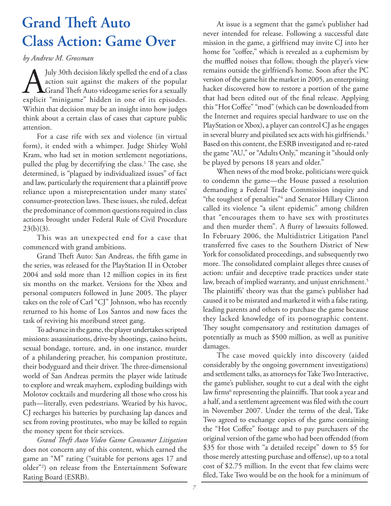# **Grand Theft Auto Class Action: Game Over**

*by Andrew M. Grossman*

July 30th decision likely spelled the end of a class<br>action suit against the makers of the popular<br>Grand Theft Auto videogame series for a sexually<br>explicit "minigame" hidden in one of its episodes. action suit against the makers of the popular  $\blacksquare$   $\blacksquare$  Grand Theft Auto videogame series for a sexually explicit "minigame" hidden in one of its episodes. Within that decision may be an insight into how judges think about a certain class of cases that capture public attention.

For a case rife with sex and violence (in virtual form), it ended with a whimper. Judge Shirley Wohl Kram, who had set in motion settlement negotiations, pulled the plug by decertifying the class.<sup>1</sup> The case, she determined, is "plagued by individualized issues" of fact and law, particularly the requirement that a plaintiff prove reliance upon a misrepresentation under many states' consumer-protection laws. These issues, she ruled, defeat the predominance of common questions required in class actions brought under Federal Rule of Civil Procedure  $23(b)(3)$ .

This was an unexpected end for a case that commenced with grand ambitions.

Grand Theft Auto: San Andreas, the fifth game in the series, was released for the PlayStation II in October 2004 and sold more than 12 million copies in its first six months on the market. Versions for the Xbox and personal computers followed in June 2005. The player takes on the role of Carl "CJ" Johnson, who has recently returned to his home of Los Santos and now faces the task of reviving his moribund street gang.

To advance in the game, the player undertakes scripted missions: assassinations, drive-by shootings, casino heists, sexual bondage, torture, and, in one instance, murder of a philandering preacher, his companion prostitute, their bodyguard and their driver. The three-dimensional world of San Andreas permits the player wide latitude to explore and wreak mayhem, exploding buildings with Molotov cocktails and murdering all those who cross his path—literally, even pedestrians. Wearied by his havoc, CJ recharges his batteries by purchasing lap dances and sex from roving prostitutes, who may be killed to regain the money spent for their services.

older<sup>"2</sup>) on release from the Entertainment Software *Grand Th eft Auto Video Game Consumer Litigation* does not concern any of this content, which earned the game an "M" rating ("suitable for persons ages 17 and Rating Board (ESRB).

At issue is a segment that the game's publisher had never intended for release. Following a successful date mission in the game, a girlfriend may invite CJ into her home for "coffee," which is revealed as a euphemism by the muffled noises that follow, though the player's view remains outside the girlfriend's home. Soon after the PC version of the game hit the market in 2005, an enterprising hacker discovered how to restore a portion of the game that had been edited out of the final release. Applying this "Hot Coffee" "mod" (which can be downloaded from the Internet and requires special hardware to use on the PlayStation or Xbox), a player can control CJ as he engages in several blurry and pixilated sex acts with his girlfriends.<sup>3</sup> Based on this content, the ESRB investigated and re-rated the game "AU," or "Adults Only," meaning it "should only be played by persons 18 years and older."

When news of the mod broke, politicians were quick to condemn the game—the House passed a resolution demanding a Federal Trade Commission inquiry and "the toughest of penalties"4 and Senator Hillary Clinton called its violence "a silent epidemic" among children that "encourages them to have sex with prostitutes and then murder them". A flurry of lawsuits followed. In February 2006, the Multidistrict Litigation Panel transferred five cases to the Southern District of New York for consolidated proceedings, and subsequently two more. The consolidated complaint alleges three causes of action: unfair and deceptive trade practices under state law, breach of implied warranty, and unjust enrichment.<sup>5</sup> The plaintiffs' theory was that the game's publisher had caused it to be misrated and marketed it with a false rating, leading parents and others to purchase the game because they lacked knowledge of its pornographic content. They sought compensatory and restitution damages of potentially as much as \$500 million, as well as punitive damages.

The case moved quickly into discovery (aided considerably by the ongoing government investigations) and settlement talks, as attorneys for Take Two Interactive, the game's publisher, sought to cut a deal with the eight law firms<sup>6</sup> representing the plaintiffs. That took a year and a half, and a settlement agreement was filed with the court in November 2007. Under the terms of the deal, Take Two agreed to exchange copies of the game containing the "Hot Coffee" footage and to pay purchasers of the original version of the game who had been offended (from \$35 for those with "a detailed receipt" down to \$5 for those merely attesting purchase and offense), up to a total cost of \$2.75 million. In the event that few claims were filed, Take Two would be on the hook for a minimum of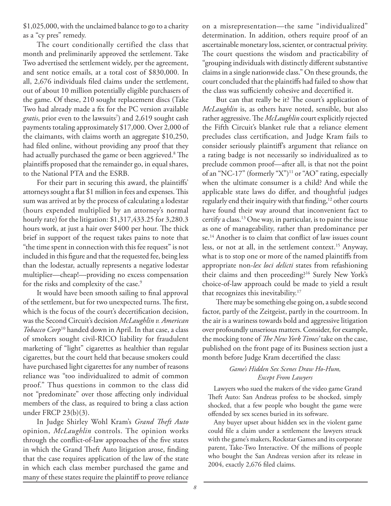\$1,025,000, with the unclaimed balance to go to a charity as a "cy pres" remedy.

The court conditionally certified the class that month and preliminarily approved the settlement. Take Two advertised the settlement widely, per the agreement, and sent notice emails, at a total cost of \$830,000. In all, 2,676 individuals filed claims under the settlement, out of about 10 million potentially eligible purchasers of the game. Of these, 210 sought replacement discs (Take Two had already made a fix for the PC version available gratis, prior even to the lawsuits<sup>7</sup>) and 2,619 sought cash payments totaling approximately \$17,000. Over 2,000 of the claimants, with claims worth an aggregate \$10,250, had filed online, without providing any proof that they had actually purchased the game or been aggrieved.<sup>8</sup> The plaintiffs proposed that the remainder go, in equal shares, to the National PTA and the ESRB.

For their part in securing this award, the plaintiffs' attorneys sought a flat \$1 million in fees and expenses. This sum was arrived at by the process of calculating a lodestar (hours expended multiplied by an attorney's normal hourly rate) for the litigation: \$1,317,433.25 for 3,280.3 hours work, at just a hair over \$400 per hour. The thick brief in support of the request takes pains to note that "the time spent in connection with this fee request" is not included in this figure and that the requested fee, being less than the lodestar, actually represents a negative lodestar multiplier—cheap!—providing no excess compensation for the risks and complexity of the case.<sup>9</sup>

It would have been smooth sailing to final approval of the settlement, but for two unexpected turns. The first, which is the focus of the court's decertification decision, was the Second Circuit's decision *McLaughlin v. American Tobacco Corp*10 handed down in April. In that case, a class of smokers sought civil-RICO liability for fraudulent marketing of "light" cigarettes as healthier than regular cigarettes, but the court held that because smokers could have purchased light cigarettes for any number of reasons reliance was "too individualized to admit of common proof." Thus questions in common to the class did not "predominate" over those affecting only individual members of the class, as required to bring a class action under FRCP 23(b)(3).

In Judge Shirley Wohl Kram's *Grand Theft Auto* opinion, *McLaughlin* controls. The opinion works through the conflict-of-law approaches of the five states in which the Grand Theft Auto litigation arose, finding that the case requires application of the law of the state in which each class member purchased the game and many of these states require the plaintiff to prove reliance

on a misrepresentation—the same "individualized" determination. In addition, others require proof of an ascertainable monetary loss, scienter, or contractual privity. The court questions the wisdom and practicability of "grouping individuals with distinctly different substantive claims in a single nationwide class." On these grounds, the court concluded that the plaintiffs had failed to show that the class was sufficiently cohesive and decertified it.

But can that really be it? The court's application of *McLaughlin* is, as others have noted, sensible, but also rather aggressive. The *McLaughlin* court explicitly rejected the Fifth Circuit's blanket rule that a reliance element precludes class certification, and Judge Kram fails to consider seriously plaintiff's argument that reliance on a rating badge is not necessarily so individualized as to preclude common proof—after all, is that not the point of an "NC-17" (formerly "X")11 or "AO" rating, especially when the ultimate consumer is a child? And while the applicable state laws do differ, and thoughtful judges regularly end their inquiry with that finding,<sup>12</sup> other courts have found their way around that inconvenient fact to certify a class.13 One way, in particular, is to paint the issue as one of manageability, rather than predominance per se.<sup>14</sup> Another is to claim that conflict of law issues count less, or not at all, in the settlement context.<sup>15</sup> Anyway, what is to stop one or more of the named plaintiffs from appropriate non-*lex loci delicti* states from refashioning their claims and then proceeding?16 Surely New York's choice-of-law approach could be made to yield a result that recognizes this inevitability.<sup>17</sup>

There may be something else going on, a subtle second factor, partly of the Zeitgeist, partly in the courtroom. In the air is a wariness towards bold and aggressive litigation over profoundly unserious matters. Consider, for example, the mocking tone of *The New York Times'* take on the case, published on the front page of its Business section just a month before Judge Kram decertified the class:

### *Game's Hidden Sex Scenes Draw Ho-Hum, Except From Lawyers*

Lawyers who sued the makers of the video game Grand Theft Auto: San Andreas profess to be shocked, simply shocked, that a few people who bought the game were offended by sex scenes buried in its software.

Any buyer upset about hidden sex in the violent game could file a claim under a settlement the lawyers struck with the game's makers, Rockstar Games and its corporate parent, Take-Two Interactive. Of the millions of people who bought the San Andreas version after its release in 2004, exactly 2,676 filed claims.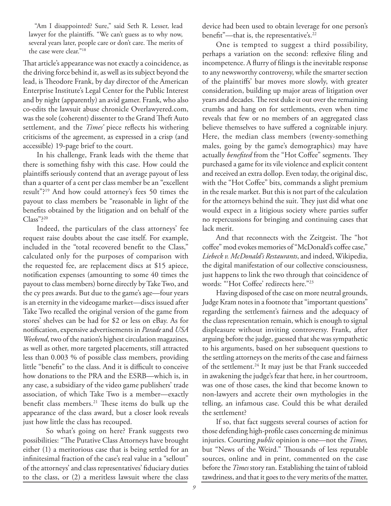"Am I disappointed? Sure," said Seth R. Lesser, lead lawyer for the plaintiffs. "We can't guess as to why now, several years later, people care or don't care. The merits of the case were clear."18

That article's appearance was not exactly a coincidence, as the driving force behind it, as well as its subject beyond the lead, is Theodore Frank, by day director of the American Enterprise Institute's Legal Center for the Public Interest and by night (apparently) an avid gamer. Frank, who also co-edits the lawsuit abuse chronicle Overlawyered.com, was the sole (coherent) dissenter to the Grand Theft Auto settlement, and the *Times'* piece reflects his withering criticisms of the agreement, as expressed in a crisp (and accessible) 19-page brief to the court.

In his challenge, Frank leads with the theme that there is something fishy with this case. How could the plaintiffs seriously contend that an average payout of less than a quarter of a cent per class member be an "excellent result"?19 And how could attorney's fees 50 times the payout to class members be "reasonable in light of the benefits obtained by the litigation and on behalf of the Class"?20

Indeed, the particulars of the class attorneys' fee request raise doubts about the case itself. For example, included in the "total recovered benefit to the Class," calculated only for the purposes of comparison with the requested fee, are replacement discs at \$15 apiece, notification expenses (amounting to some 40 times the payout to class members) borne directly by Take Two, and the cy pres awards. But due to the game's age—four years is an eternity in the videogame market—discs issued after Take Two recalled the original version of the game from stores' shelves can be had for \$2 or less on eBay. As for notification, expensive advertisements in *Parade* and *USA Weekend*, two of the nation's highest circulation magazines, as well as other, more targeted placements, still attracted less than 0.003 % of possible class members, providing little "benefit" to the class. And it is difficult to conceive how donations to the PRA and the ESRB—which is, in any case, a subsidiary of the video game publishers' trade association, of which Take Two is a member—exactly benefit class members.<sup>21</sup> These items do bulk up the appearance of the class award, but a closer look reveals just how little the class has recouped.

 So what's going on here? Frank suggests two possibilities: "The Putative Class Attorneys have brought either (1) a meritorious case that is being settled for an infinitesimal fraction of the case's real value in a "sellout" of the attorneys' and class representatives' fiduciary duties to the class, or (2) a meritless lawsuit where the class

device had been used to obtain leverage for one person's benefit"—that is, the representative's.<sup>22</sup>

One is tempted to suggest a third possibility, perhaps a variation on the second: reflexive filing and incompetence. A flurry of filings is the inevitable response to any newsworthy controversy, while the smarter section of the plaintiffs' bar moves more slowly, with greater consideration, building up major areas of litigation over years and decades. The rest duke it out over the remaining crumbs and hang on for settlements, even when time reveals that few or no members of an aggregated class believe themselves to have suffered a cognizable injury. Here, the median class members (twenty-something males, going by the game's demographics) may have actually *benefited* from the "Hot Coffee" segments. They purchased a game for its vile violence and explicit content and received an extra dollop. Even today, the original disc, with the "Hot Coffee" bits, commands a slight premium in the resale market. But this is not part of the calculation for the attorneys behind the suit. They just did what one would expect in a litigious society where parties suffer no repercussions for bringing and continuing cases that lack merit.

And that reconnects with the Zeitgeist. The "hot" coffee" mod evokes memories of "McDonald's coffee case," *Liebeck v. McDonald's Restaurants*, and indeed, Wikipedia, the digital manifestation of our collective consciousness, just happens to link the two through that coincidence of words: "Hot Coffee' redirects here."<sup>23</sup>

Having disposed of the case on more neutral grounds, Judge Kram notes in a footnote that "important questions" regarding the settlement's fairness and the adequacy of the class representation remain, which is enough to signal displeasure without inviting controversy. Frank, after arguing before the judge, guessed that she was sympathetic to his arguments, based on her subsequent questions to the settling attorneys on the merits of the case and fairness of the settlement.<sup>24</sup> It may just be that Frank succeeded in awakening the judge's fear that here, in her courtroom, was one of those cases, the kind that become known to non-lawyers and accrete their own mythologies in the telling, an infamous case. Could this be what derailed the settlement?

If so, that fact suggests several courses of action for those defending high-profile cases concerning de minimus injuries. Courting *public* opinion is one—not the *Times,* but "News of the Weird." Thousands of less reputable sources, online and in print, commented on the case before the *Times* story ran. Establishing the taint of tabloid tawdriness, and that it goes to the very merits of the matter,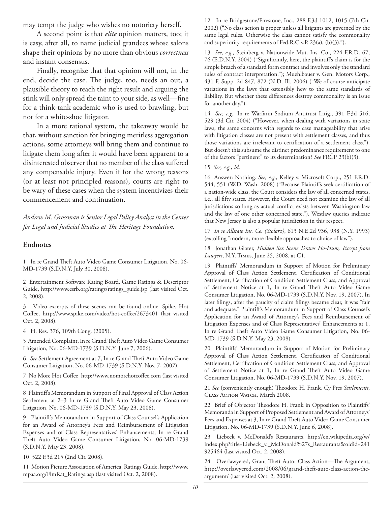may tempt the judge who wishes no notoriety herself.

A second point is that *elite* opinion matters, too; it is easy, after all, to name judicial grandees whose salons shape their opinions by no more than obvious *correctness* and instant consensus.

Finally, recognize that that opinion will not, in the end, decide the case. The judge, too, needs an out, a plausible theory to reach the right result and arguing the stink will only spread the taint to your side, as well—fine for a think-tank academic who is used to brawling, but not for a white-shoe litigator.

In a more rational system, the takeaway would be that, without sanction for bringing meritless aggregation actions, some attorneys will bring them and continue to litigate them long after it would have been apparent to a disinterested observer that no member of the class suffered any compensable injury. Even if for the wrong reasons (or at least not principled reasons), courts are right to be wary of these cases when the system incentivizes their commencement and continuation.

*Andrew M. Grossman is Senior Legal Policy Analyst in the Center*  for Legal and Judicial Studies at The Heritage Foundation.

### **Endnotes**

1 In re Grand Theft Auto Video Game Consumer Litigation, No. 06-MD-1739 (S.D.N.Y. July 30, 2008).

2 Entertainment Software Rating Board, Game Ratings & Descriptor Guide, http://www.esrb.org/ratings/ratings\_guide.jsp (last visited Oct. 2, 2008).

3 Video excerpts of these scenes can be found online. Spike, Hot Coffee, http://www.spike.com/video/hot-coffee/2673401 (last visited Oct. 2, 2008).

4 H. Res. 376, 109th Cong. (2005).

5 Amended Complaint, In re Grand Theft Auto Video Game Consumer Litigation, No. 06-MD-1739 (S.D.N.Y. June 7, 2006).

6 See Settlement Agreement at 7, In re Grand Theft Auto Video Game Consumer Litigation, No. 06-MD-1739 (S.D.N.Y. Nov. 7, 2007).

7 No More Hot Coffee, http://www.nomorehotcoffee.com (last visited Oct. 2, 2008).

8 Plaintiff's Memorandum in Support of Final Approval of Class Action Settlement at 2-3 In re Grand Theft Auto Video Game Consumer Litigation, No. 06-MD-1739 (S.D.N.Y. May 23, 2008).

9 Plaintiff's Memorandum in Support of Class Counsel's Application for an Award of Attorney's Fees and Reimbursement of Litigation Expenses and of Class Representatives' Enhancements, In re Grand Theft Auto Video Game Consumer Litigation, No. 06-MD-1739 (S.D.N.Y. May 23, 2008).

10 522 F.3d 215 (2nd Cir. 2008).

11 Motion Picture Association of America, Ratings Guide, http://www. mpaa.org/FlmRat\_Ratings.asp (last visited Oct. 2, 2008).

12 In re Bridgestone/Firestone, Inc., 288 F.3d 1012, 1015 (7th Cir. 2002) ("No class action is proper unless all litigants are governed by the same legal rules. Otherwise the class cannot satisfy the commonality and superiority requirements of Fed.R.Civ.P. 23(a), (b)(3).").

13 *See, e.g.,* Steinberg v. Nationwide Mut. Ins. Co., 224 F.R.D. 67, 76 (E.D.N.Y. 2004) ("Significantly, here, the plaintiff's claim is for the simple breach of a standard form contract and involves only the standard rules of contract interpretation."); Muehlbauer v. Gen. Motors Corp., 431 F. Supp. 2d 847, 872 (N.D. Ill. 2006) ("We of course anticipate variations in the laws that ostensibly hew to the same standards of liability. But whether these differences destroy commonality is an issue for another day.").

14 *See, e.g.,* In re Warfarin Sodium Antitrust Litig., 391 F.3d 516, 529 (3d Cir. 2004) ("However, when dealing with variations in state laws, the same concerns with regards to case manageability that arise with litigation classes are not present with settlement classes, and thus those variations are irrelevant to certification of a settlement class."). But doesn't this subsume the distinct predominance requirement to one of the factors "pertinent" to its determination? *See* FRCP 23(b)(3).

15 *See, e.g., id*.

16 Answer: Nothing. *See, e.g.,* Kelley v. Microsoft Corp., 251 F.R.D. 544, 551 (W.D. Wash. 2008) ("Because Plaintiffs seek certification of a nation-wide class, the Court considers the law of all concerned states, i.e., all fifty states. However, the Court need not examine the law of all jurisdictions so long as actual conflict exists between Washington law and the law of one other concerned state."). Westlaw queries indicate that New Jersey is also a popular jurisdiction in this respect.

17 *In re Allstate Ins. Co. (Stolarz)*, 613 N.E.2d 936, 938 (N.Y. 1993) (extolling "modern, more flexible approaches to choice of law").

18 Jonathan Glater, *Hidden Sex Scene Draws Ho-Hum, Except from Lawyers*, N.Y. Times, June 25, 2008, at C1.

19 Plaintiffs' Memorandum in Support of Motion for Preliminary Approval of Class Action Settlement, Certification of Conditional Settlement, Certification of Condition Settlement Class, and Approval of Settlement Notice at 1, In re Grand Theft Auto Video Game Consumer Litigation, No. 06-MD-1739 (S.D.N.Y. Nov. 19, 2007). In later filings, after the paucity of claim filings became clear, it was "fair and adequate." Plaintiff's Memorandum in Support of Class Counsel's Application for an Award of Attorney's Fees and Reimbursement of Litigation Expenses and of Class Representatives' Enhancements at 1, In re Grand Theft Auto Video Game Consumer Litigation, No. 06-MD-1739 (S.D.N.Y. May 23, 2008).

20 Plaintiffs' Memorandum in Support of Motion for Preliminary Approval of Class Action Settlement, Certification of Conditional Settlement, Certification of Condition Settlement Class, and Approval of Settlement Notice at 1, In re Grand Theft Auto Video Game Consumer Litigation, No. 06-MD-1739 (S.D.N.Y. Nov. 19, 2007).

21 See (conveniently enough) Theodore H. Frank, Cy Pres Settlements, CLASS ACTION WATCH, March 2008.

22 Brief of Objector Theodore H. Frank in Opposition to Plaintiffs' Memoranda in Support of Proposed Settlement and Award of Attorneys' Fees and Expenses at 3, In re Grand Theft Auto Video Game Consumer Litigation, No. 06-MD-1739 (S.D.N.Y. June 6, 2008).

23 Liebeck v. McDonald's Restaurants, http://en.wikipedia.org/w/ index.php?title=Liebeck\_v.\_McDonald%27s\_Restaurants&oldid=241 925464 (last visited Oct. 2, 2008).

24 Overlawyered, Grant Theft Auto: Class Action-The Argument, http://overlawyered.com/2008/06/grand-theft-auto-class-action-theargument/ (last visited Oct. 2, 2008).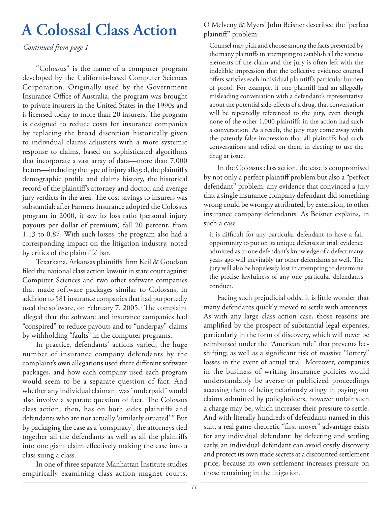*Continued from page 1*

"Colossus" is the name of a computer program developed by the California-based Computer Sciences Corporation. Originally used by the Government Insurance Office of Australia, the program was brought to private insurers in the United States in the 1990s and is licensed today to more than 20 insurers. The program is designed to reduce costs for insurance companies by replacing the broad discretion historically given to individual claims adjusters with a more systemic response to claims, based on sophisticated algorithms that incorporate a vast array of data—more than 7,000 factors—including the type of injury alleged, the plaintiff's demographic profile and claims history, the historical record of the plaintiff's attorney and doctor, and average jury verdicts in the area. The cost savings to insurers was substantial: after Farmers Insurance adopted the Colossus program in 2000, it saw its loss ratio (personal injury payouts per dollar of premium) fall 20 percent, from 1.13 to 0.87. With such losses, the program also had a corresponding impact on the litigation industry, noted by critics of the plaintiffs' bar.

Texarkana, Arkansas plaintiffs' firm Keil & Goodson filed the national class action lawsuit in state court against Computer Sciences and two other software companies that made software packages similar to Colossus, in addition to 581 insurance companies that had purportedly used the software, on February 7, 2005.<sup>1</sup> The complaint alleged that the software and insurance companies had "conspired" to reduce payouts and to "underpay" claims by withholding "faults" in the computer programs.

In practice, defendants' actions varied; the huge number of insurance company defendants by the complaint's own allegations used three different software packages, and how each company used each program would seem to be a separate question of fact. And whether any individual claimant was "underpaid" would also involve a separate question of fact. The Colossus class action, then, has on both sides plaintiffs and defendants who are not actually 'similarly situated'." But by packaging the case as a 'conspiracy', the attorneys tied together all the defendants as well as all the plaintiffs into one giant claim effectively making the case into a class suing a class.

In one of three separate Manhattan Institute studies empirically examining class action magnet courts,

A Colossal Class Action O'Melveny & Myers' John Beisner described the "perfect" plaintiff" problem:

> Counsel may pick and choose among the facts presented by the many plaintiffs in attempting to establish all the various elements of the claim and the jury is often left with the indelible impression that the collective evidence counsel offers satisfies each individual plaintiff's particular burden of proof. For example, if one plaintiff had an allegedly misleading conversation with a defendant's representative about the potential side-effects of a drug, that conversation will be repeatedly referenced to the jury, even though none of the other 1,000 plaintiffs in the action had such a conversation. As a result, the jury may come away with the patently false impression that all plaintiffs had such conversations and relied on them in electing to use the drug at issue.

In the Colossus class action, the case is compromised by not only a perfect plaintiff problem but also a "perfect defendant" problem: any evidence that convinced a jury that a single insurance company defendant did something wrong could be wrongly attributed, by extension, to other insurance company defendants. As Beisner explains, in such a case

it is difficult for any particular defendant to have a fair opportunity to put on its unique defenses at trial: evidence admitted as to one defendant's knowledge of a defect many years ago will inevitably tar other defendants as well. The jury will also be hopelessly lost in attempting to determine the precise lawfulness of any one particular defendant's conduct.

Facing such prejudicial odds, it is little wonder that many defendants quickly moved to settle with attorneys. As with any large class action case, those reasons are amplified by the prospect of substantial legal expenses, particularly in the form of discovery, which will never be reimbursed under the "American rule" that prevents feeshifting; as well as a significant risk of massive "lottery" losses in the event of actual trial. Moreover, companies in the business of writing insurance policies would understandably be averse to publicized proceedings accusing them of being nefariously stingy in paying out claims submitted by policyholders, however unfair such a charge may be, which increases their pressure to settle. And with literally hundreds of defendants named in this suit, a real game-theoretic "first-mover" advantage exists for any individual defendant: by defecting and settling early, an individual defendant can avoid costly discovery and protect its own trade secrets at a discounted settlement price, because its own settlement increases pressure on those remaining in the litigation.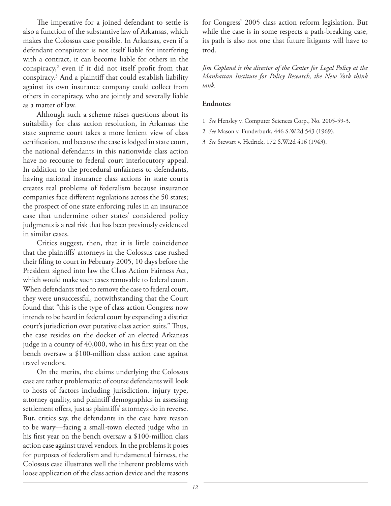The imperative for a joined defendant to settle is also a function of the substantive law of Arkansas, which makes the Colossus case possible. In Arkansas, even if a defendant conspirator is not itself liable for interfering with a contract, it can become liable for others in the conspiracy,<sup>2</sup> even if it did not itself profit from that conspiracy.3 And a plaintiff that could establish liability against its own insurance company could collect from others in conspiracy, who are jointly and severally liable as a matter of law.

Although such a scheme raises questions about its suitability for class action resolution, in Arkansas the state supreme court takes a more lenient view of class certification, and because the case is lodged in state court, the national defendants in this nationwide class action have no recourse to federal court interlocutory appeal. In addition to the procedural unfairness to defendants, having national insurance class actions in state courts creates real problems of federalism because insurance companies face different regulations across the 50 states; the prospect of one state enforcing rules in an insurance case that undermine other states' considered policy judgments is a real risk that has been previously evidenced in similar cases.

Critics suggest, then, that it is little coincidence that the plaintiffs' attorneys in the Colossus case rushed their filing to court in February 2005, 10 days before the President signed into law the Class Action Fairness Act, which would make such cases removable to federal court. When defendants tried to remove the case to federal court, they were unsuccessful, notwithstanding that the Court found that "this is the type of class action Congress now intends to be heard in federal court by expanding a district court's jurisdiction over putative class action suits." Thus, the case resides on the docket of an elected Arkansas judge in a county of 40,000, who in his first year on the bench oversaw a \$100-million class action case against travel vendors.

On the merits, the claims underlying the Colossus case are rather problematic: of course defendants will look to hosts of factors including jurisdiction, injury type, attorney quality, and plaintiff demographics in assessing settlement offers, just as plaintiffs' attorneys do in reverse. But, critics say, the defendants in the case have reason to be wary—facing a small-town elected judge who in his first year on the bench oversaw a \$100-million class action case against travel vendors. In the problems it poses for purposes of federalism and fundamental fairness, the Colossus case illustrates well the inherent problems with loose application of the class action device and the reasons

for Congress' 2005 class action reform legislation. But while the case is in some respects a path-breaking case, its path is also not one that future litigants will have to trod.

*Jim Copland is the director of the Center for Legal Policy at the Manhattan Institute for Policy Research, the New York think tank.*

### **Endnotes**

- 1 *See* Hensley v. Computer Sciences Corp., No. 2005-59-3.
- 2 *See* Mason v. Funderburk, 446 S.W.2d 543 (1969).
- 3 *See* Stewart v. Hedrick, 172 S.W.2d 416 (1943).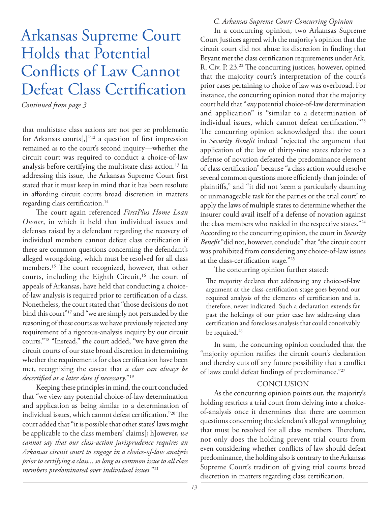# Arkansas Supreme Court Holds that Potential Conflicts of Law Cannot Defeat Class Certification

*Continued from page 3*

that multistate class actions are not per se problematic for Arkansas courts[,]"<sup>12</sup> a question of first impression remained as to the court's second inquiry—whether the circuit court was required to conduct a choice-of-law analysis before certifying the multistate class action.<sup>13</sup> In addressing this issue, the Arkansas Supreme Court first stated that it must keep in mind that it has been resolute in affording circuit courts broad discretion in matters regarding class certification.<sup>14</sup>

The court again referenced FirstPlus Home Loan *Owner*, in which it held that individual issues and defenses raised by a defendant regarding the recovery of individual members cannot defeat class certification if there are common questions concerning the defendant's alleged wrongdoing, which must be resolved for all class members.<sup>15</sup> The court recognized, however, that other courts, including the Eighth Circuit,<sup>16</sup> the court of appeals of Arkansas, have held that conducting a choiceof-law analysis is required prior to certification of a class. Nonetheless, the court stated that "those decisions do not bind this court"17 and "we are simply not persuaded by the reasoning of these courts as we have previously rejected any requirement of a rigorous-analysis inquiry by our circuit courts."18 "Instead," the court added, "we have given the circuit courts of our state broad discretion in determining whether the requirements for class certification have been met, recognizing the caveat that *a class can always be decertified at a later date if necessary.*"<sup>19</sup>

Keeping these principles in mind, the court concluded that "we view any potential choice-of-law determination and application as being similar to a determination of individual issues, which cannot defeat certification."<sup>20</sup> The court added that "it is possible that other states' laws might be applicable to the class members' claims[; h]owever, *we cannot say that our class-action jurisprudence requires an Arkansas circuit court to engage in a choice-of-law analysis prior to certifying a class... so long as common issue to all class members predominated over individual issues.*"21

### *C. Arkansas Supreme Court-Concurring Opinion*

In a concurring opinion, two Arkansas Supreme Court Justices agreed with the majority's opinion that the circuit court did not abuse its discretion in finding that Bryant met the class certification requirements under Ark. R. Civ. P. 23.<sup>22</sup> The concurring justices, however, opined that the majority court's interpretation of the court's prior cases pertaining to choice of law was overbroad. For instance, the concurring opinion noted that the majority court held that "*any* potential choice-of-law determination and application" is "similar to a determination of individual issues, which cannot defeat certification."<sup>23</sup> The concurring opinion acknowledged that the court in *Security Benefit* indeed "rejected the argument that application of the law of thirty-nine states relative to a defense of novation defeated the predominance element of class certification" because "a class action would resolve several common questions more efficiently than joinder of plaintiffs," and "it did not 'seem a particularly daunting or unmanageable task for the parties or the trial court' to apply the laws of multiple states to determine whether the insurer could avail itself of a defense of novation against the class members who resided in the respective states."24 According to the concurring opinion, the court in *Security Benefit* "did not, however, conclude" that "the circuit court was prohibited from considering any choice-of-law issues at the class-certification stage."<sup>25</sup>

The concurring opinion further stated:

The majority declares that addressing any choice-of-law argument at the class-certification stage goes beyond our required analysis of the elements of certification and is, therefore, never indicated. Such a declaration extends far past the holdings of our prior case law addressing class certification and forecloses analysis that could conceivably be required.<sup>26</sup>

In sum, the concurring opinion concluded that the "majority opinion ratifies the circuit court's declaration and thereby cuts off any future possibility that a conflict of laws could defeat findings of predominance."<sup>27</sup>

### **CONCLUSION**

As the concurring opinion points out, the majority's holding restricts a trial court from delving into a choiceof-analysis once it determines that there are common questions concerning the defendant's alleged wrongdoing that must be resolved for all class members. Therefore, not only does the holding prevent trial courts from even considering whether conflicts of law should defeat predominance, the holding also is contrary to the Arkansas Supreme Court's tradition of giving trial courts broad discretion in matters regarding class certification.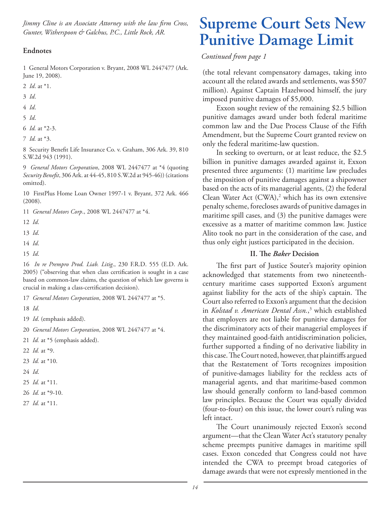*Jimmy Cline is an Associate Attorney with the law firm Cross, Gunter, Witherspoon & Galchus, P.C., Little Rock, AR.*

### **Endnotes**

1 General Motors Corporation v. Bryant, 2008 WL 2447477 (Ark. June 19, 2008).

- 2 *Id*. at \*1.
- 3 *Id*.
- 4 *Id*.
- 5 *Id*.
- 6 *Id.* at \*2-3.
- 7 *Id.* at \*3.

8 Security Benefit Life Insurance Co. v. Graham, 306 Ark. 39, 810 S.W.2d 943 (1991).

9 *General Motors Corporation*, 2008 WL 2447477 at \*4 (quoting *Security Benefit*, 306 Ark. at 44-45, 810 S.W.2d at 945-46)) (citations omitted).

10 FirstPlus Home Loan Owner 1997-1 v. Bryant, 372 Ark. 466 (2008).

- 11 *General Motors Corp*., 2008 WL 2447477 at \*4.
- 12 *Id*.
- 13 *Id*.
- 14 *Id*.
- 15 *Id*.

16 *In re Prempro Prod. Liab. Litig*., 230 F.R.D. 555 (E.D. Ark. 2005) ("observing that when class certification is sought in a case based on common-law claims, the question of which law governs is crucial in making a class-certification decision).

17 *General Motors Corporation*, 2008 WL 2447477 at \*5.

- 18 *Id*.
- 19 *Id*. (emphasis added).
- 20 *General Motors Corporation*, 2008 WL 2447477 at \*4.
- 21 *Id.* at \*5 (emphasis added).
- 22 *Id.* at \*9.
- 23 *Id.* at \*10.
- 24 *Id*.
- 25 *Id.* at \*11.
- 26 *Id.* at \*9-10.
- 27 *Id.* at \*11.

# **Supreme Court Sets New Punitive Damage Limit**

### *Continued from page 1*

(the total relevant compensatory damages, taking into account all the related awards and settlements, was \$507 million). Against Captain Hazelwood himself, the jury imposed punitive damages of \$5,000.

Exxon sought review of the remaining \$2.5 billion punitive damages award under both federal maritime common law and the Due Process Clause of the Fifth Amendment, but the Supreme Court granted review on only the federal maritime-law question.

In seeking to overturn, or at least reduce, the \$2.5 billion in punitive damages awarded against it, Exxon presented three arguments: (1) maritime law precludes the imposition of punitive damages against a shipowner based on the acts of its managerial agents, (2) the federal Clean Water Act  $(CWA)$ ,<sup>2</sup> which has its own extensive penalty scheme, forecloses awards of punitive damages in maritime spill cases, and (3) the punitive damages were excessive as a matter of maritime common law. Justice Alito took no part in the consideration of the case, and thus only eight justices participated in the decision.

### **II.** The *Baker* Decision

The first part of Justice Souter's majority opinion acknowledged that statements from two nineteenthcentury maritime cases supported Exxon's argument against liability for the acts of the ship's captain. The Court also referred to Exxon's argument that the decision in *Kolstad v. American Dental Assn.*, 3 which established that employers are not liable for punitive damages for the discriminatory acts of their managerial employees if they maintained good-faith antidiscrimination policies, further supported a finding of no derivative liability in this case. The Court noted, however, that plaintiffs argued that the Restatement of Torts recognizes imposition of punitive-damages liability for the reckless acts of managerial agents, and that maritime-based common law should generally conform to land-based common law principles. Because the Court was equally divided (four-to-four) on this issue, the lower court's ruling was left intact.

The Court unanimously rejected Exxon's second argument—that the Clean Water Act's statutory penalty scheme preempts punitive damages in maritime spill cases. Exxon conceded that Congress could not have intended the CWA to preempt broad categories of damage awards that were not expressly mentioned in the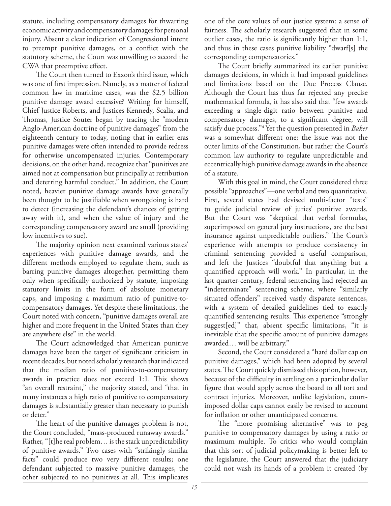statute, including compensatory damages for thwarting economic activity and compensatory damages for personal injury. Absent a clear indication of Congressional intent to preempt punitive damages, or a conflict with the statutory scheme, the Court was unwilling to accord the CWA that preemptive effect.

The Court then turned to Exxon's third issue, which was one of first impression. Namely, as a matter of federal common law in maritime cases, was the \$2.5 billion punitive damage award excessive? Writing for himself, Chief Justice Roberts, and Justices Kennedy, Scalia, and Thomas, Justice Souter began by tracing the "modern Anglo-American doctrine of punitive damages" from the eighteenth century to today, noting that in earlier eras punitive damages were often intended to provide redress for otherwise uncompensated injuries. Contemporary decisions, on the other hand, recognize that "punitives are aimed not at compensation but principally at retribution and deterring harmful conduct." In addition, the Court noted, heavier punitive damage awards have generally been thought to be justifiable when wrongdoing is hard to detect (increasing the defendant's chances of getting away with it), and when the value of injury and the corresponding compensatory award are small (providing low incentives to sue).

The majority opinion next examined various states' experiences with punitive damage awards, and the different methods employed to regulate them, such as barring punitive damages altogether, permitting them only when specifically authorized by statute, imposing statutory limits in the form of absolute monetary caps, and imposing a maximum ratio of punitive-tocompensatory damages. Yet despite these limitations, the Court noted with concern, "punitive damages overall are higher and more frequent in the United States than they are anywhere else" in the world.

The Court acknowledged that American punitive damages have been the target of significant criticism in recent decades, but noted scholarly research that indicated that the median ratio of punitive-to-compensatory awards in practice does not exceed 1:1. This shows "an overall restraint," the majority stated, and "that in many instances a high ratio of punitive to compensatory damages is substantially greater than necessary to punish or deter."

The heart of the punitive damages problem is not, the Court concluded, "mass-produced runaway awards." Rather, "[t]he real problem… is the stark unpredictability of punitive awards." Two cases with "strikingly similar facts" could produce two very different results; one defendant subjected to massive punitive damages, the other subjected to no punitives at all. This implicates

one of the core values of our justice system: a sense of fairness. The scholarly research suggested that in some outlier cases, the ratio is significantly higher than  $1:1$ , and thus in these cases punitive liability "dwarf[s] the corresponding compensatories."

The Court briefly summarized its earlier punitive damages decisions, in which it had imposed guidelines and limitations based on the Due Process Clause. Although the Court has thus far rejected any precise mathematical formula, it has also said that "few awards exceeding a single-digit ratio between punitive and compensatory damages, to a significant degree, will satisfy due process."4 Yet the question presented in *Baker* was a somewhat different one; the issue was not the outer limits of the Constitution, but rather the Court's common law authority to regulate unpredictable and eccentrically high punitive damage awards in the absence of a statute.

With this goal in mind, the Court considered three possible "approaches"—one verbal and two quantitative. First, several states had devised multi-factor "tests" to guide judicial review of juries' punitive awards. But the Court was "skeptical that verbal formulas, superimposed on general jury instructions, are the best insurance against unpredictable outliers." The Court's experience with attempts to produce consistency in criminal sentencing provided a useful comparison, and left the Justices "doubtful that anything but a quantified approach will work." In particular, in the last quarter-century, federal sentencing had rejected an "indeterminate" sentencing scheme, where "similarly situated offenders" received vastly disparate sentences, with a system of detailed guidelines tied to exactly quantified sentencing results. This experience "strongly suggest[ed]" that, absent specific limitations, "it is inevitable that the specific amount of punitive damages awarded… will be arbitrary."

Second, the Court considered a "hard dollar cap on punitive damages," which had been adopted by several states. The Court quickly dismissed this option, however, because of the difficulty in settling on a particular dollar figure that would apply across the board to all tort and contract injuries. Moreover, unlike legislation, courtimposed dollar caps cannot easily be revised to account for inflation or other unanticipated concerns.

The "more promising alternative" was to peg punitive to compensatory damages by using a ratio or maximum multiple. To critics who would complain that this sort of judicial policymaking is better left to the legislature, the Court answered that the judiciary could not wash its hands of a problem it created (by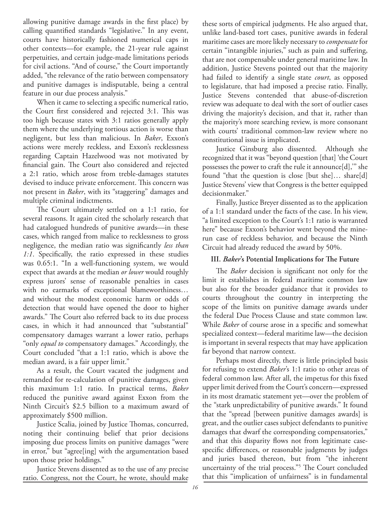allowing punitive damage awards in the first place) by calling quantified standards "legislative." In any event, courts have historically fashioned numerical caps in other contexts—for example, the 21-year rule against perpetuities, and certain judge-made limitations periods for civil actions. "And of course," the Court importantly added, "the relevance of the ratio between compensatory and punitive damages is indisputable, being a central feature in our due process analysis."

When it came to selecting a specific numerical ratio, the Court first considered and rejected 3:1. This was too high because states with 3:1 ratios generally apply them where the underlying tortious action is worse than negligent, but less than malicious. In *Baker*, Exxon's actions were merely reckless, and Exxon's recklessness regarding Captain Hazelwood was not motivated by financial gain. The Court also considered and rejected a 2:1 ratio, which arose from treble-damages statutes devised to induce private enforcement. This concern was not present in *Baker*, with its "staggering" damages and multiple criminal indictments.

The Court ultimately settled on a 1:1 ratio, for several reasons. It again cited the scholarly research that had catalogued hundreds of punitive awards—in these cases, which ranged from malice to recklessness to gross negligence, the median ratio was significantly *less than* 1:1. Specifically, the ratio expressed in these studies was 0.65:1. "In a well-functioning system, we would expect that awards at the median *or lower* would roughly express jurors' sense of reasonable penalties in cases with no earmarks of exceptional blameworthiness… and without the modest economic harm or odds of detection that would have opened the door to higher awards." The Court also referred back to its due process cases, in which it had announced that "substantial" compensatory damages warrant a lower ratio, perhaps "only *equal to* compensatory damages." Accordingly, the Court concluded "that a 1:1 ratio, which is above the median award, is a fair upper limit."

As a result, the Court vacated the judgment and remanded for re-calculation of punitive damages, given this maximum 1:1 ratio. In practical terms, *Baker* reduced the punitive award against Exxon from the Ninth Circuit's \$2.5 billion to a maximum award of approximately \$500 million.

Justice Scalia, joined by Justice Thomas, concurred, noting their continuing belief that prior decisions imposing due process limits on punitive damages "were in error," but "agree[ing] with the argumentation based upon those prior holdings."

Justice Stevens dissented as to the use of any precise ratio. Congress, not the Court, he wrote, should make

these sorts of empirical judgments. He also argued that, unlike land-based tort cases, punitive awards in federal maritime cases are more likely necessary to *compensate* for certain "intangible injuries," such as pain and suffering, that are not compensable under general maritime law. In addition, Justice Stevens pointed out that the majority had failed to identify a single state *court*, as opposed to legislature, that had imposed a precise ratio. Finally, Justice Stevens contended that abuse-of-discretion review was adequate to deal with the sort of outlier cases driving the majority's decision, and that it, rather than the majority's more searching review, is more consonant with courts' traditional common-law review where no constitutional issue is implicated.

Justice Ginsburg also dissented. Although she recognized that it was "beyond question [that] 'the Court possesses the power to craft the rule it announce[d],'" she found "that the question is close [but she]… share[d] Justice Stevens' view that Congress is the better equipped decisionmaker."

Finally, Justice Breyer dissented as to the application of a 1:1 standard under the facts of the case. In his view, "a limited exception to the Court's 1:1 ratio is warranted here" because Exxon's behavior went beyond the minerun case of reckless behavior, and because the Ninth Circuit had already reduced the award by 50%.

### **III.** *Baker*'s Potential Implications for The Future

The *Baker* decision is significant not only for the limit it establishes in federal maritime common law but also for the broader guidance that it provides to courts throughout the country in interpreting the scope of the limits on punitive damage awards under the federal Due Process Clause and state common law. While *Baker* of course arose in a specific and somewhat specialized context—federal maritime law—the decision is important in several respects that may have application far beyond that narrow context.

Perhaps most directly, there is little principled basis for refusing to extend *Baker*'s 1:1 ratio to other areas of federal common law. After all, the impetus for this fixed upper limit derived from the Court's concern—expressed in its most dramatic statement yet—over the problem of the "stark unpredictability of punitive awards." It found that the "spread [between punitive damages awards] is great, and the outlier cases subject defendants to punitive damages that dwarf the corresponding compensatories," and that this disparity flows not from legitimate casespecific differences, or reasonable judgments by judges and juries based thereon, but from "the inherent uncertainty of the trial process."<sup>5</sup> The Court concluded that this "implication of unfairness" is in fundamental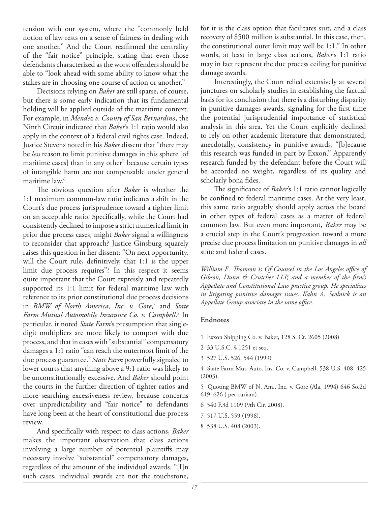tension with our system, where the "commonly held notion of law rests on a sense of fairness in dealing with one another." And the Court reaffirmed the centrality of the "fair notice" principle, stating that even those defendants characterized as the worst offenders should be able to "look ahead with some ability to know what the stakes are in choosing one course of action or another."

Decisions relying on *Baker* are still sparse, of course, but there is some early indication that its fundamental holding will be applied outside of the maritime context. For example, in *Mendez v. County of San Bernardino*, the Ninth Circuit indicated that *Baker*'s 1:1 ratio would also apply in the context of a federal civil rights case. Indeed, Justice Stevens noted in his *Baker* dissent that "there may be *less* reason to limit punitive damages in this sphere [of maritime cases] than in any other" because certain types of intangible harm are not compensable under general maritime law.6

The obvious question after *Baker* is whether the 1:1 maximum common-law ratio indicates a shift in the Court's due process jurisprudence toward a tighter limit on an acceptable ratio. Specifically, while the Court had consistently declined to impose a strict numerical limit in prior due process cases, might *Baker* signal a willingness to reconsider that approach? Justice Ginsburg squarely raises this question in her dissent: "On next opportunity, will the Court rule, definitively, that 1:1 is the upper limit due process requires"? In this respect it seems quite important that the Court expressly and repeatedly supported its 1:1 limit for federal maritime law with reference to its prior constitutional due process decisions in *BMW of North America, Inc. v. Gore*, 7 and *State Farm Mutual Automobile Insurance Co. v. Campbell*. 8 In particular, it noted *State Farm*'s presumption that singledigit multipliers are more likely to comport with due process, and that in cases with "substantial" compensatory damages a 1:1 ratio "can reach the outermost limit of the due process guarantee." *State Farm* powerfully signaled to lower courts that anything above a 9:1 ratio was likely to be unconstitutionally excessive. And *Baker* should point the courts in the further direction of tighter ratios and more searching excessiveness review, because concerns over unpredictability and "fair notice" to defendants have long been at the heart of constitutional due process review.

And specifically with respect to class actions, *Baker* makes the important observation that class actions involving a large number of potential plaintiffs may necessary involve "substantial" compensatory damages, regardless of the amount of the individual awards. "[I]n such cases, individual awards are not the touchstone,

for it is the class option that facilitates suit, and a class recovery of \$500 million is substantial. In this case, then, the constitutional outer limit may well be 1:1." In other words, at least in large class actions, *Baker*'s 1:1 ratio may in fact represent the due process ceiling for punitive damage awards.

Interestingly, the Court relied extensively at several junctures on scholarly studies in establishing the factual basis for its conclusion that there is a disturbing disparity in punitive damages awards, signaling for the first time the potential jurisprudential importance of statistical analysis in this area. Yet the Court explicitly declined to rely on other academic literature that demonstrated, anecdotally, consistency in punitive awards, "[b]ecause this research was funded in part by Exxon." Apparently research funded by the defendant before the Court will be accorded no weight, regardless of its quality and scholarly bona fides.

The significance of *Baker's* 1:1 ratio cannot logically be confined to federal maritime cases. At the very least, this same ratio arguably should apply across the board in other types of federal cases as a matter of federal common law. But even more important, *Baker* may be a crucial step in the Court's progression toward a more precise due process limitation on punitive damages in *all* state and federal cases.

*William E. Thomson is Of Counsel in the Los Angeles office of* Gibson, Dunn & Crutcher LLP, and a member of the firm's *Appellate and Constitutional Law practice group. He specializes in litigating punitive damages issues. Kahn A. Scolnick is an*  Appellate Group associate in the same office.

### **Endnotes**

- 1 Exxon Shipping Co. v. Baker, 128 S. Ct. 2605 (2008)
- 2 33 U.S.C. § 1251 et seq.
- 3 527 U.S. 526, 544 (1999)

4 State Farm Mut. Auto. Ins. Co. v. Campbell, 538 U.S. 408, 425 (2003).

5 Quoting BMW of N. Am., Inc. v. Gore (Ala. 1994) 646 So.2d 619, 626 ( per curiam).

- 6 540 F.3d 1109 (9th Cir. 2008).
- 7 517 U.S. 559 (1996).
- 8 538 U.S. 408 (2003).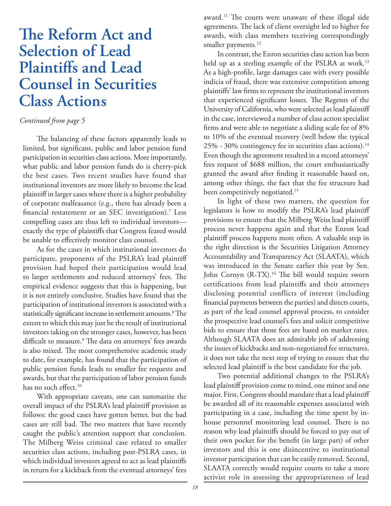# **The Reform Act and Selection of Lead Plaintiffs and Lead Counsel in Securities Class Actions**

### *Continued from page 5*

The balancing of these factors apparently leads to limited, but significant, public and labor pension fund participation in securities class actions. More importantly, what public and labor pension funds do is cherry-pick the best cases. Two recent studies have found that institutional investors are more likely to become the lead plaintiff in larger cases where there is a higher probability of corporate malfeasance (e.g., there has already been a financial restatement or an SEC investigation).<sup>7</sup> Less compelling cases are thus left to individual investors exactly the type of plaintiffs that Congress feared would be unable to effectively monitor class counsel.

As for the cases in which institutional investors do participate, proponents of the PSLRA's lead plaintiff provision had hoped their participation would lead to larger settlements and reduced attorneys' fees. The empirical evidence suggests that this is happening, but it is not entirely conclusive. Studies have found that the participation of institutional investors is associated with a statistically significant increase in settlement amounts.<sup>8</sup> The extent to which this may just be the result of institutional investors taking on the stronger cases, however, has been difficult to measure.<sup>9</sup> The data on attorneys' fees awards is also mixed. The most comprehensive academic study to date, for example, has found that the participation of public pension funds leads to smaller fee requests and awards, but that the participation of labor pension funds has no such effect.<sup>10</sup>

With appropriate caveats, one can summarize the overall impact of the PSLRA's lead plaintiff provision as follows: the good cases have gotten better, but the bad cases are still bad. The two matters that have recently caught the public's attention support that conclusion. The Milberg Weiss criminal case related to smaller securities class actions, including post-PSLRA cases, in which individual investors agreed to act as lead plaintiffs in return for a kickback from the eventual attorneys' fees

award.<sup>11</sup> The courts were unaware of these illegal side agreements. The lack of client oversight led to higher fee awards, with class members receiving correspondingly smaller payments.<sup>12</sup>

In contrast, the Enron securities class action has been held up as a sterling example of the PSLRA at work.<sup>13</sup> As a high-profile, large damages case with every possible indicia of fraud, there was extensive competition among plaintiffs' law firms to represent the institutional investors that experienced significant losses. The Regents of the University of California, who were selected as lead plaintiff in the case, interviewed a number of class action specialist firms and were able to negotiate a sliding scale fee of 8% to 10% of the eventual recovery (well below the typical 25% - 30% contingency fee in securities class actions).14 Even though the agreement resulted in a record attorneys' fees request of \$688 million, the court enthusiastically granted the award after finding it reasonable based on, among other things, the fact that the fee structure had been competitively negotiated.<sup>15</sup>

In light of these two matters, the question for legislators is how to modify the PSLRA's lead plaintiff provisions to ensure that the Milberg Weiss lead plaintiff process never happens again and that the Enron lead plaintiff process happens more often. A valuable step in the right direction is the Securities Litigation Attorney Accountability and Transparency Act (SLAATA), which was introduced in the Senate earlier this year by Sen. John Cornyn (R-TX).<sup>16</sup> The bill would require sworn certifications from lead plaintiffs and their attorneys disclosing potential conflicts of interest (including financial payments between the parties) and directs courts, as part of the lead counsel approval process, to consider the prospective lead counsel's fees and solicit competitive bids to ensure that those fees are based on market rates. Although SLAATA does an admirable job of addressing the issues of kickbacks and non-negotiated fee structures, it does not take the next step of trying to ensure that the selected lead plaintiff is the best candidate for the job.

Two potential additional changes to the PSLRA's lead plaintiff provision come to mind, one minor and one major. First, Congress should mandate that a lead plaintiff be awarded all of its reasonable expenses associated with participating in a case, including the time spent by inhouse personnel monitoring lead counsel. There is no reason why lead plaintiffs should be forced to pay out of their own pocket for the benefit (in large part) of other investors and this is one disincentive to institutional investor participation that can be easily removed. Second, SLAATA correctly would require courts to take a more activist role in assessing the appropriateness of lead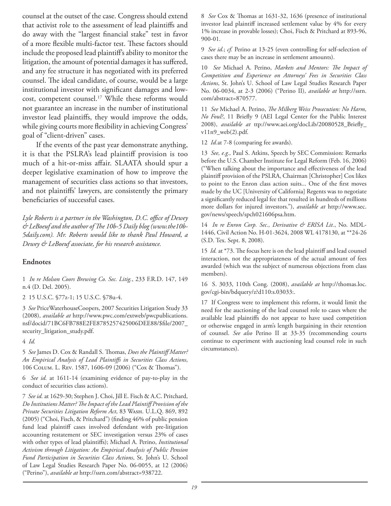counsel at the outset of the case. Congress should extend that activist role to the assessment of lead plaintiffs and do away with the "largest financial stake" test in favor of a more flexible multi-factor test. These factors should include the proposed lead plaintiff's ability to monitor the litigation, the amount of potential damages it has suffered, and any fee structure it has negotiated with its preferred counsel. The ideal candidate, of course, would be a large institutional investor with significant damages and lowcost, competent counsel.<sup>17</sup> While these reforms would not guarantee an increase in the number of institutional investor lead plaintiffs, they would improve the odds, while giving courts more flexibility in achieving Congress' goal of "client-driven" cases.

If the events of the past year demonstrate anything, it is that the PSLRA's lead plaintiff provision is too much of a hit-or-miss affair. SLAATA should spur a deeper legislative examination of how to improve the management of securities class actions so that investors, and not plaintiffs' lawyers, are consistently the primary beneficiaries of successful cases.

Lyle Roberts is a partner in the Washington, D.C. office of Dewey & LeBoeuf and the author of The 10b-5 Daily blog (www.the10b-*5daily.com). Mr. Roberts would like to thank Paul Howard, a Dewey & LeBoeuf associate, for his research assistance.* 

### **Endnotes**

1 *In re Molson Coors Brewing Co. Sec. Litig.*, 233 F.R.D. 147, 149 n.4 (D. Del. 2005).

2 15 U.S.C. §77z-1; 15 U.S.C. §78u-4.

3 *See* PriceWaterhouseCoopers, 2007 Securities Litigation Study 33 (2008), *available at* http://www.pwc.com/extweb/pwcpublications. nsf/docid/71BC6FB788E2FE8785257425006DEE88/\$file/2007\_ security\_litigation\_study.pdf.

4 *Id.*

5 See James D. Cox & Randall S. Thomas, *Does the Plaintiff Matter? An Empirical Analysis of Lead Plaintiff s in Securities Class Actions*, 106 Социм. L. Rev. 1587, 1606-09 (2006) ("Сох & Thomas").

6 *See id.* at 1611-14 (examining evidence of pay-to-play in the conduct of securities class actions).

7 *See id.* at 1629-30; Stephen J. Choi, Jill E. Fisch & A.C. Pritchard, *Do Institutions Matter? The Impact of the Lead Plaintiff Provision of the Private Securities Litigation Reform Act*, 83 Wash. U.L.Q. 869, 892 (2005) ("Choi, Fisch, & Pritchard") (finding 46% of public pension fund lead plaintiff cases involved defendant with pre-litigation accounting restatement or SEC investigation versus 23% of cases with other types of lead plaintiffs); Michael A. Perino, *Institutional Activism through Litigation: An Empirical Analysis of Public Pension Fund Participation in Securities Class Actions*, St. John's U. School of Law Legal Studies Research Paper No. 06-0055, at 12 (2006) ("Perino"), *available at* http://ssrn.com/abstract=938722.

8 See Cox & Thomas at 1631-32, 1636 (presence of institutional investor lead plaintiff increased settlement value by 4% for every 1% increase in provable losses); Choi, Fisch & Pritchard at 893-96, 900-01.

9 *See id*.; *cf.* Perino at 13-25 (even controlling for self-selection of cases there may be an increase in settlement amounts).

10 See Michael A. Perino, Markets and Mentors: The Impact of *Competition and Experience on Attorneys' Fees in Securities Class Actions*, St. John's U. School of Law Legal Studies Research Paper No. 06-0034, at 2-3 (2006) ("Perino II), *available at* http://ssrn. com/abstract=870577.

11 See Michael A. Perino, *The Milberg Weiss Prosecution: No Harm*, *No Foul?*, 11 Briefly 9 (AEI Legal Center for the Public Interest 2008), *available at* ttp://www.aei.org/docLib/20080528\_Briefly\_ v11n9\_web(2).pdf.

12 *Id.*at 7-8 (comparing fee awards).

13 *See, e.g.,* Paul S. Atkins, Speech by SEC Commission: Remarks before the U.S. Chamber Institute for Legal Reform (Feb. 16, 2006) ("When talking about the importance and effectiveness of the lead plaintiff provision of the PSLRA, Chairman [Christopher] Cox likes to point to the Enron class action suits... One of the first moves made by the UC [University of California] Regents was to negotiate a significantly reduced legal fee that resulted in hundreds of millions more dollars for injured investors."), *available at* http://www.sec. gov/news/speech/spch021606psa.htm.

14 *In re Enron Corp. Sec., Derivative & ERISA Lit.*, No. MDL-1446, Civil Action No. H-01-3624, 2008 WL 4178130, at \*\*24-26 (S.D. Tex. Sept. 8, 2008).

15 *Id.* at \*73. The focus here is on the lead plaintiff and lead counsel interaction, not the appropriateness of the actual amount of fees awarded (which was the subject of numerous objections from class members).

16 S. 3033, 110th Cong. (2008), *available at* http://thomas.loc. gov/cgi-bin/bdquery/z?d110:s.03033:.

17 If Congress were to implement this reform, it would limit the need for the auctioning of the lead counsel role to cases where the available lead plaintiffs do not appear to have used competition or otherwise engaged in arm's length bargaining in their retention of counsel. *See also* Perino II at 33-35 (recommending courts continue to experiment with auctioning lead counsel role in such circumstances).